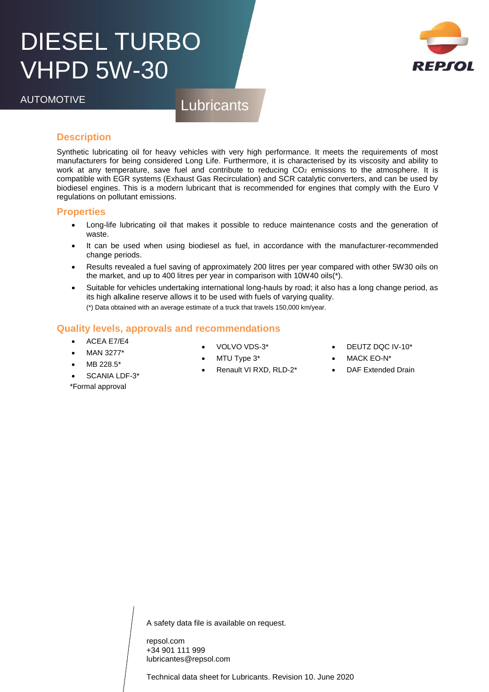## DIESEL TURBO VHPD 5W-30



AUTOMOTIVE Lubricants

#### **Description**

Synthetic lubricating oil for heavy vehicles with very high performance. It meets the requirements of most manufacturers for being considered Long Life. Furthermore, it is characterised by its viscosity and ability to work at any temperature, save fuel and contribute to reducing CO<sub>2</sub> emissions to the atmosphere. It is compatible with EGR systems (Exhaust Gas Recirculation) and SCR catalytic converters, and can be used by biodiesel engines. This is a modern lubricant that is recommended for engines that comply with the Euro V regulations on pollutant emissions.

#### **Properties**

- Long-life lubricating oil that makes it possible to reduce maintenance costs and the generation of waste.
- It can be used when using biodiesel as fuel, in accordance with the manufacturer-recommended change periods.
- Results revealed a fuel saving of approximately 200 litres per year compared with other 5W30 oils on the market, and up to 400 litres per year in comparison with 10W40 oils(\*).
- Suitable for vehicles undertaking international long-hauls by road; it also has a long change period, as its high alkaline reserve allows it to be used with fuels of varying quality. (\*) Data obtained with an average estimate of a truck that travels 150,000 km/year.

#### **Quality levels, approvals and recommendations**

- ACEA E7/E4
- MAN 3277\*
- MB 228.5\*
- SCANIA LDF-3\*

\*Formal approval

- VOLVO VDS-3\*
- MTU Type 3\*
- Renault VI RXD, RLD-2\*
- DEUTZ DQC IV-10\*
- MACK EO-N\*
- DAF Extended Drain

A safety data file is available on request.

repsol.com +34 901 111 999 lubricantes@repsol.com

Technical data sheet for Lubricants. Revision 10. June 2020